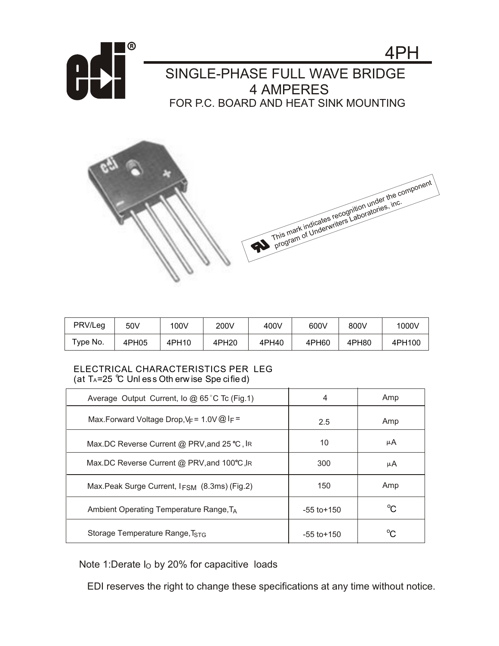



| PRV/Leg                   | 50V   | 100V  | 200V  | 400V  | 600V  | 800V  | 1000V  |
|---------------------------|-------|-------|-------|-------|-------|-------|--------|
| $\tau$ <sub>VDe</sub> No. | 4PH05 | 4PH10 | 4PH20 | 4PH40 | 4PH60 | 4PH80 | 4PH100 |

## ELECTRICAL CHARACTERISTICS PER LEG (at  $T_A = 25$  °C Unless Oth erwise Specified)

| Average Output Current, lo @ 65 °C Tc (Fig.1)                     | 4               | Amp |
|-------------------------------------------------------------------|-----------------|-----|
| Max. Forward Voltage Drop, $V_F$ = 1.0V $\omega$ I <sub>F</sub> = | 2.5             | Amp |
| Max.DC Reverse Current @ PRV, and 25 ℃, IR                        | 10              | μA  |
| Max.DC Reverse Current @ PRV, and 100°C, IR                       | 300             | μA  |
| Max.Peak Surge Current, I <sub>FSM</sub> (8.3ms) (Fig.2)          | 150             | Amp |
| Ambient Operating Temperature Range, T <sub>A</sub>               | $-55$ to $+150$ | °C. |
| Storage Temperature Range, TstG                                   | $-55$ to $+150$ | ∽   |

Note 1:Derate I<sub>O</sub> by 20% for capacitive loads

EDI reserves the right to change these specifications at any time without notice.